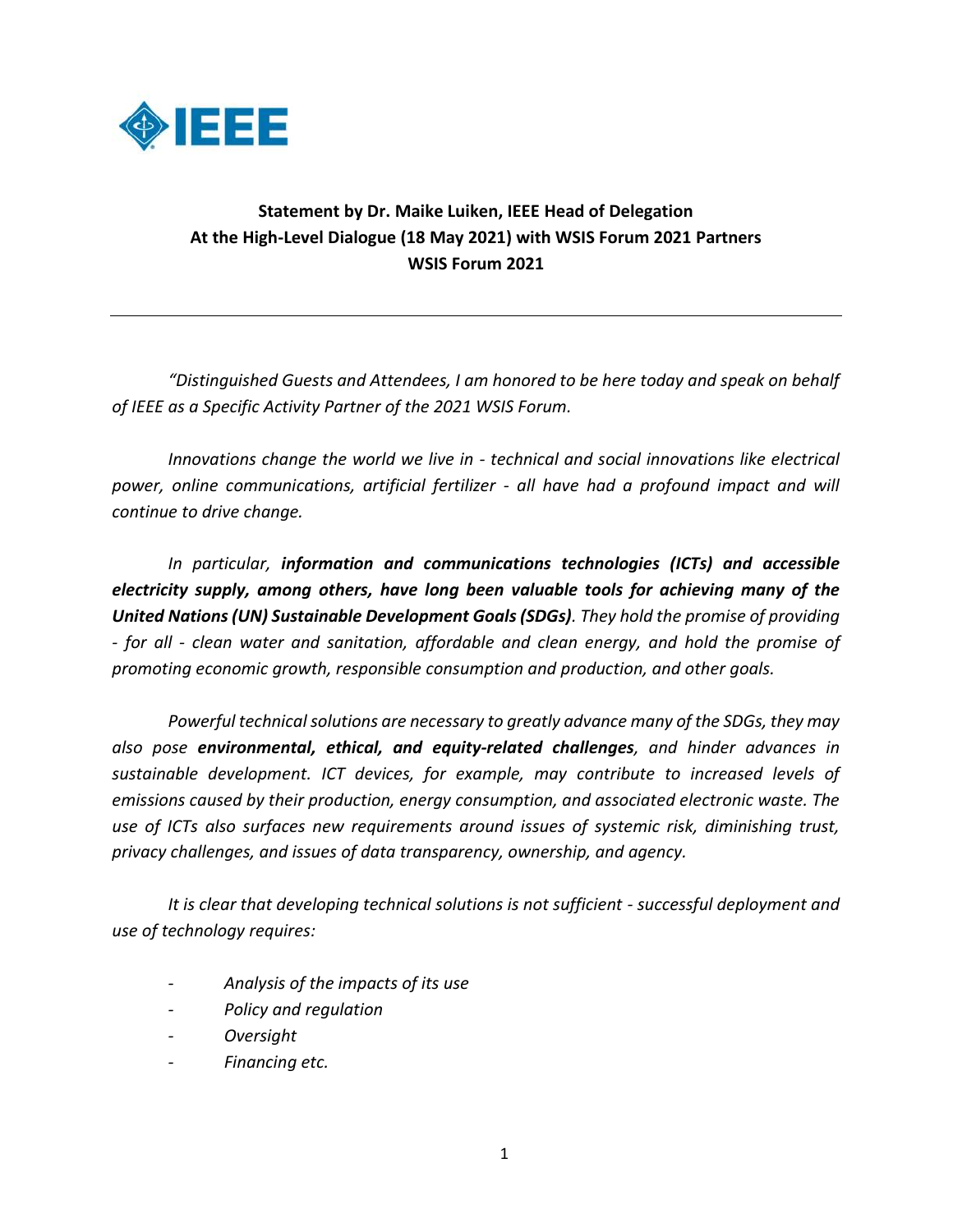

## **Statement by Dr. Maike Luiken, IEEE Head of Delegation At the High-Level Dialogue (18 May 2021) with WSIS Forum 2021 Partners WSIS Forum 2021**

*"Distinguished Guests and Attendees, I am honored to be here today and speak on behalf of IEEE as a Specific Activity Partner of the 2021 WSIS Forum.* 

*Innovations change the world we live in - technical and social innovations like electrical power, online communications, artificial fertilizer - all have had a profound impact and will continue to drive change.* 

*In particular, information and communications technologies (ICTs) and accessible electricity supply, among others, have long been valuable tools for achieving many of the United Nations (UN) Sustainable Development Goals (SDGs). They hold the promise of providing - for all - clean water and sanitation, affordable and clean energy, and hold the promise of promoting economic growth, responsible consumption and production, and other goals.*

*Powerful technical solutions are necessary to greatly advance many of the SDGs, they may also pose environmental, ethical, and equity-related challenges, and hinder advances in sustainable development. ICT devices, for example, may contribute to increased levels of emissions caused by their production, energy consumption, and associated electronic waste. The use of ICTs also surfaces new requirements around issues of systemic risk, diminishing trust, privacy challenges, and issues of data transparency, ownership, and agency.* 

*It is clear that developing technical solutions is not sufficient - successful deployment and use of technology requires:*

- *- Analysis of the impacts of its use*
- *- Policy and regulation*
- *- Oversight*
- *- Financing etc.*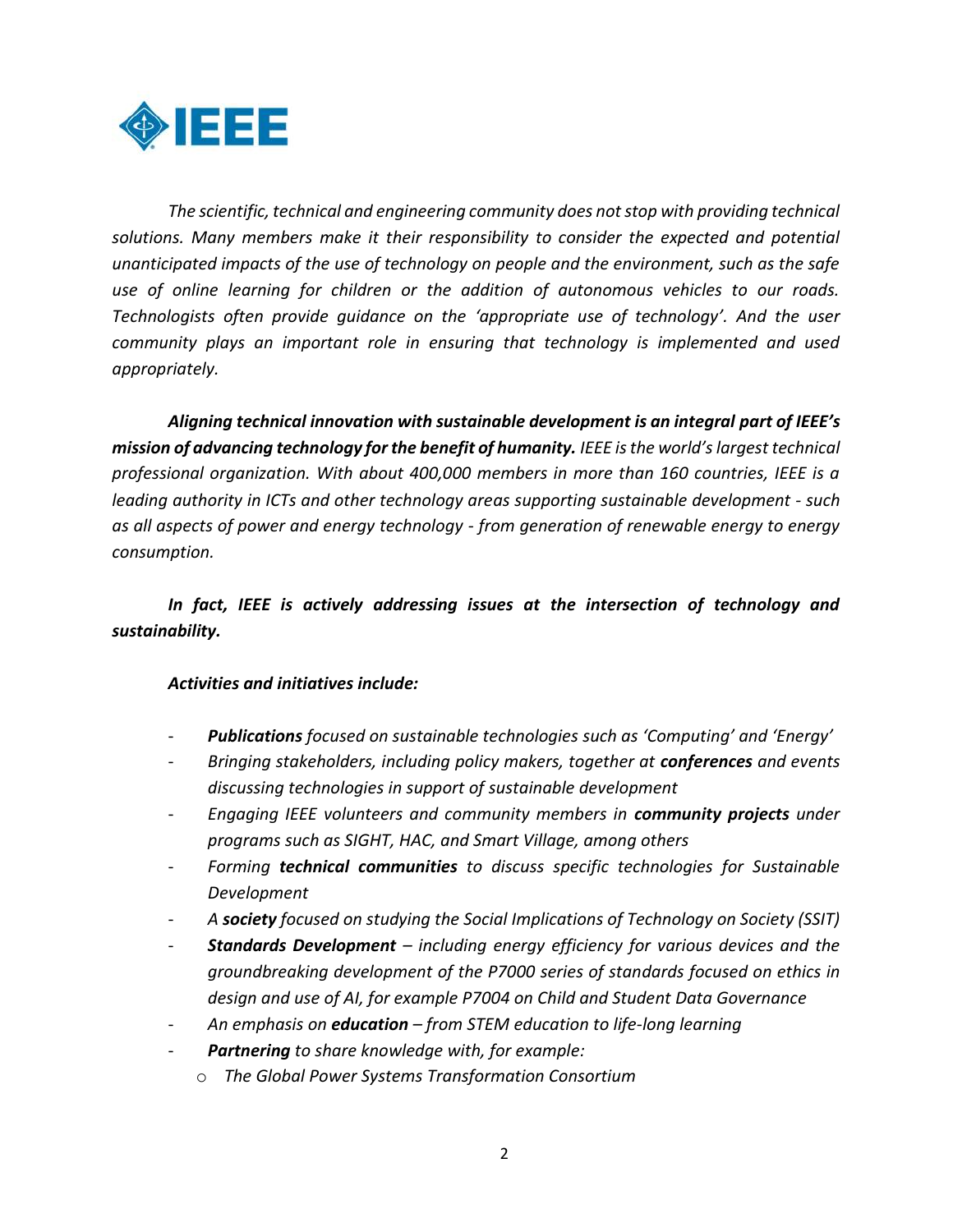

*The scientific, technical and engineering community does not stop with providing technical solutions. Many members make it their responsibility to consider the expected and potential unanticipated impacts of the use of technology on people and the environment, such as the safe use of online learning for children or the addition of autonomous vehicles to our roads. Technologists often provide guidance on the 'appropriate use of technology'. And the user community plays an important role in ensuring that technology is implemented and used appropriately.* 

*Aligning technical innovation with sustainable development is an integral part of IEEE's mission of advancing technology for the benefit of humanity. IEEE is the world's largest technical professional organization. With about 400,000 members in more than 160 countries, IEEE is a leading authority in ICTs and other technology areas supporting sustainable development - such as all aspects of power and energy technology - from generation of renewable energy to energy consumption.*

## *In fact, IEEE is actively addressing issues at the intersection of technology and sustainability.*

## *Activities and initiatives include:*

- *Publications focused on sustainable technologies such as 'Computing' and 'Energy'*
- *Bringing stakeholders, including policy makers, together at conferences and events discussing technologies in support of sustainable development*
- *Engaging IEEE volunteers and community members in community projects under programs such as SIGHT, HAC, and Smart Village, among others*
- *Forming technical communities to discuss specific technologies for Sustainable Development*
- *A society focused on studying the Social Implications of Technology on Society (SSIT)*
- *Standards Development – including energy efficiency for various devices and the groundbreaking development of the P7000 series of standards focused on ethics in design and use of AI, for example P7004 on Child and Student Data Governance*
- *An emphasis on education – from STEM education to life-long learning*
- *Partnering to share knowledge with, for example:*
	- o *The Global Power Systems Transformation Consortium*